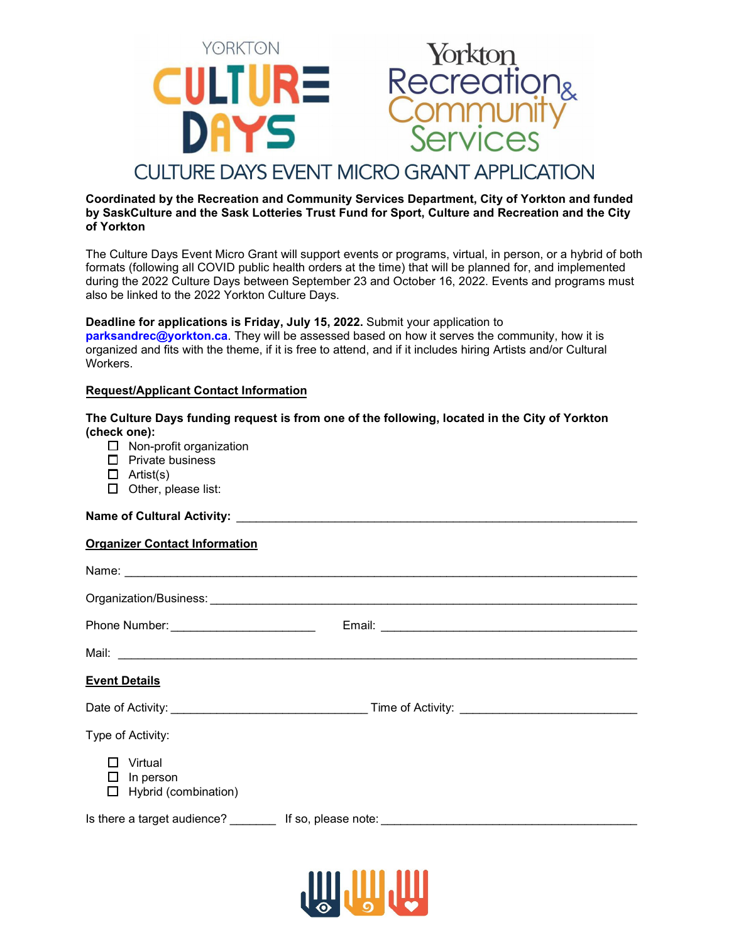

### **Coordinated by the Recreation and Community Services Department, City of Yorkton and funded by SaskCulture and the Sask Lotteries Trust Fund for Sport, Culture and Recreation and the City of Yorkton**

The Culture Days Event Micro Grant will support events or programs, virtual, in person, or a hybrid of both formats (following all COVID public health orders at the time) that will be planned for, and implemented during the 2022 Culture Days between September 23 and October 16, 2022. Events and programs must also be linked to the 2022 Yorkton Culture Days.

### **Deadline for applications is Friday, July 15, 2022.** Submit your application to

**[parksandrec@yorkton.ca](mailto:parksandrec@yorkton.ca)**. They will be assessed based on how it serves the community, how it is organized and fits with the theme, if it is free to attend, and if it includes hiring Artists and/or Cultural Workers.

### **Request/Applicant Contact Information**

### **The Culture Days funding request is from one of the following, located in the City of Yorkton (check one):**

- $\Box$  Non-profit organization
- $\Box$  Private business
- $\Box$  Artist(s)
- $\Box$  Other, please list:

# **Name of Cultural Activity:**

# **Organizer Contact Information**

| Name: Name:                                  |  |
|----------------------------------------------|--|
|                                              |  |
| Phone Number: __________________________     |  |
|                                              |  |
| <b>Event Details</b>                         |  |
|                                              |  |
| Type of Activity:                            |  |
| Virtual<br>In person<br>Hybrid (combination) |  |
|                                              |  |

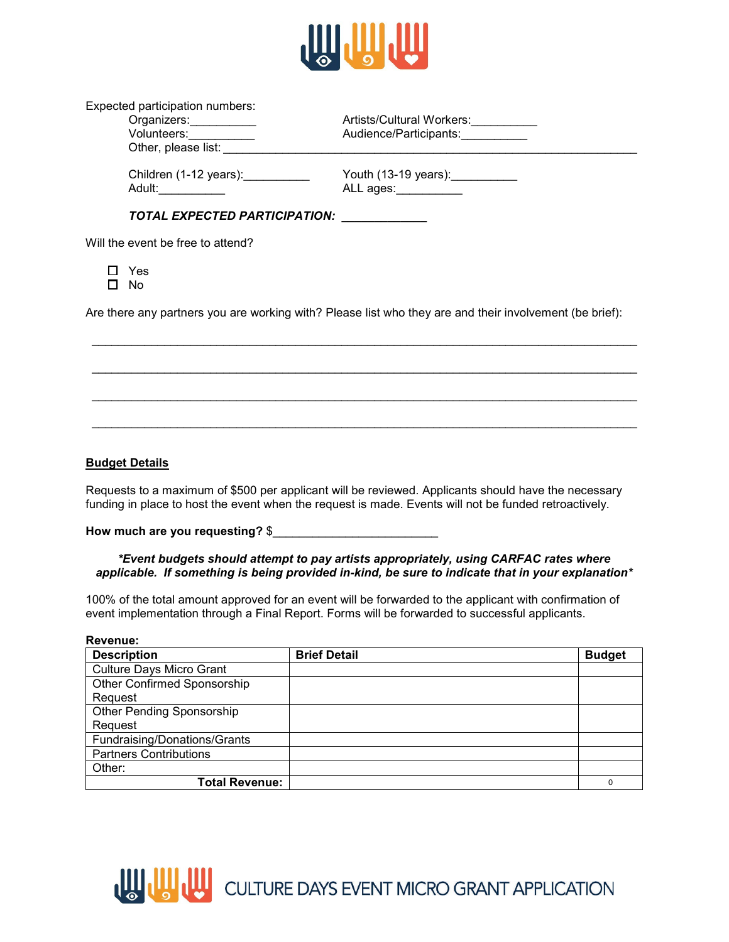

|        | Expected participation numbers:                         |                                                                                                         |
|--------|---------------------------------------------------------|---------------------------------------------------------------------------------------------------------|
|        | Organizers:___________                                  | Artists/Cultural Workers:                                                                               |
|        | Volunteers:                                             | Audience/Participants:                                                                                  |
|        | Other, please list:                                     |                                                                                                         |
|        | Children (1-12 years):___________<br>Adult:____________ | Youth (13-19 years): ___________<br>ALL ages: __________                                                |
|        | TOTAL EXPECTED PARTICIPATION: ___________               |                                                                                                         |
|        | Will the event be free to attend?                       |                                                                                                         |
| $\Box$ | Yes<br>No                                               |                                                                                                         |
|        |                                                         | Are there any partners you are working with? Please list who they are and their involvement (be brief): |
|        |                                                         |                                                                                                         |
|        |                                                         |                                                                                                         |
|        |                                                         |                                                                                                         |

### **Budget Details**

Requests to a maximum of \$500 per applicant will be reviewed. Applicants should have the necessary funding in place to host the event when the request is made. Events will not be funded retroactively.

\_\_\_\_\_\_\_\_\_\_\_\_\_\_\_\_\_\_\_\_\_\_\_\_\_\_\_\_\_\_\_\_\_\_\_\_\_\_\_\_\_\_\_\_\_\_\_\_\_\_\_\_\_\_\_\_\_\_\_\_\_\_\_\_\_\_\_\_\_\_\_\_\_\_\_\_\_\_\_\_\_\_\_

**How much are you requesting?** \$\_\_\_\_\_\_\_\_\_\_\_\_\_\_\_\_\_\_\_\_\_\_\_\_\_

#### *\*Event budgets should attempt to pay artists appropriately, using CARFAC rates where applicable. If something is being provided in-kind, be sure to indicate that in your explanation\**

100% of the total amount approved for an event will be forwarded to the applicant with confirmation of event implementation through a Final Report. Forms will be forwarded to successful applicants.

| Revenue:                        |                     |               |
|---------------------------------|---------------------|---------------|
| <b>Description</b>              | <b>Brief Detail</b> | <b>Budget</b> |
| <b>Culture Days Micro Grant</b> |                     |               |
| Other Confirmed Sponsorship     |                     |               |
| Request                         |                     |               |
| Other Pending Sponsorship       |                     |               |
| Request                         |                     |               |
| Fundraising/Donations/Grants    |                     |               |
| <b>Partners Contributions</b>   |                     |               |
| Other:                          |                     |               |
| <b>Total Revenue:</b>           |                     | $\Omega$      |